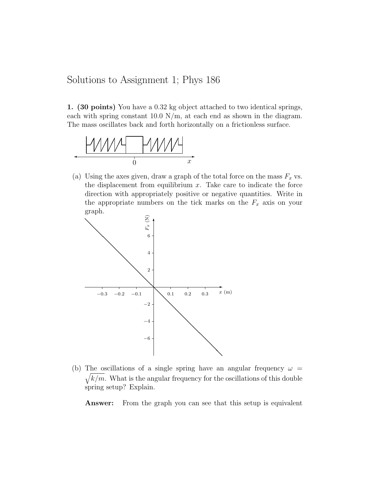Solutions to Assignment 1; Phys 186

1. (30 points) You have a 0.32 kg object attached to two identical springs, each with spring constant  $10.0 \text{ N/m}$ , at each end as shown in the diagram. The mass oscillates back and forth horizontally on a frictionless surface.



(a) Using the axes given, draw a graph of the total force on the mass  $F_x$  vs. the displacement from equilibrium  $x$ . Take care to indicate the force direction with appropriately positive or negative quantities. Write in the appropriate numbers on the tick marks on the  $F_x$  axis on your graph.



(b) The oscillations of a single spring have an angular frequency  $\omega =$  $\sqrt{k/m}$ . What is the angular frequency for the oscillations of this double spring setup? Explain.

Answer: From the graph you can see that this setup is equivalent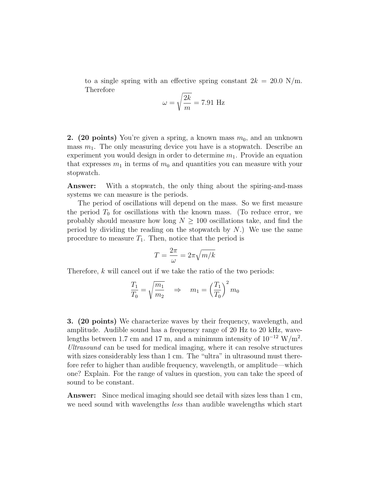to a single spring with an effective spring constant  $2k = 20.0$  N/m. Therefore

$$
\omega = \sqrt{\frac{2k}{m}} = 7.91 \text{ Hz}
$$

**2.** (20 points) You're given a spring, a known mass  $m_0$ , and an unknown mass  $m_1$ . The only measuring device you have is a stopwatch. Describe an experiment you would design in order to determine  $m_1$ . Provide an equation that expresses  $m_1$  in terms of  $m_0$  and quantities you can measure with your stopwatch.

Answer: With a stopwatch, the only thing about the spiring-and-mass systems we can measure is the periods.

The period of oscillations will depend on the mass. So we first measure the period  $T_0$  for oscillations with the known mass. (To reduce error, we probably should measure how long  $N \geq 100$  oscillations take, and find the period by dividing the reading on the stopwatch by  $N$ .) We use the same procedure to measure  $T_1$ . Then, notice that the period is

$$
T = \frac{2\pi}{\omega} = 2\pi \sqrt{m/k}
$$

Therefore, k will cancel out if we take the ratio of the two periods:

$$
\frac{T_1}{T_0} = \sqrt{\frac{m_1}{m_2}} \quad \Rightarrow \quad m_1 = \left(\frac{T_1}{T_0}\right)^2 m_0
$$

3. (20 points) We characterize waves by their frequency, wavelength, and amplitude. Audible sound has a frequency range of 20 Hz to 20 kHz, wavelengths between 1.7 cm and 17 m, and a minimum intensity of  $10^{-12}$  W/m<sup>2</sup>. Ultrasound can be used for medical imaging, where it can resolve structures with sizes considerably less than 1 cm. The "ultra" in ultrasound must therefore refer to higher than audible frequency, wavelength, or amplitude—which one? Explain. For the range of values in question, you can take the speed of sound to be constant.

Answer: Since medical imaging should see detail with sizes less than 1 cm, we need sound with wavelengths *less* than audible wavelengths which start